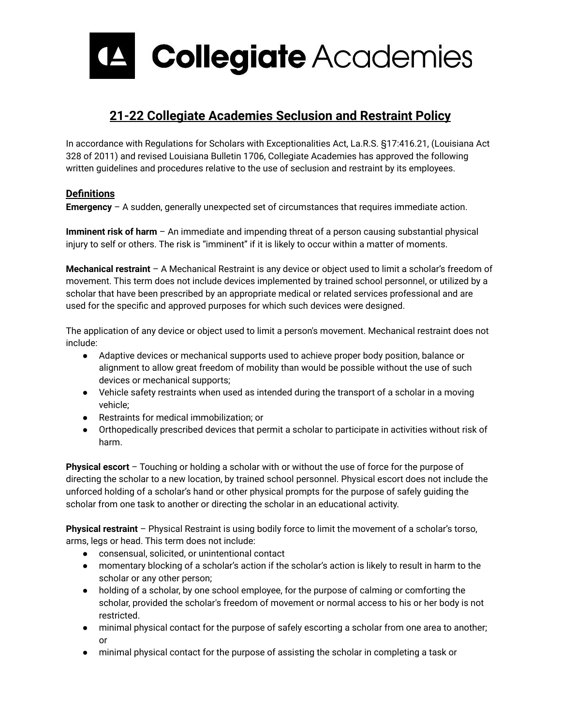### **21-22 Collegiate Academies Seclusion and Restraint Policy**

In accordance with Regulations for Scholars with Exceptionalities Act, La.R.S. §17:416.21, (Louisiana Act 328 of 2011) and revised Louisiana Bulletin 1706, Collegiate Academies has approved the following written guidelines and procedures relative to the use of seclusion and restraint by its employees.

### **Definitions**

**Emergency** – A sudden, generally unexpected set of circumstances that requires immediate action.

**Imminent risk of harm** – An immediate and impending threat of a person causing substantial physical injury to self or others. The risk is "imminent" if it is likely to occur within a matter of moments.

**Mechanical restraint** – A Mechanical Restraint is any device or object used to limit a scholar's freedom of movement. This term does not include devices implemented by trained school personnel, or utilized by a scholar that have been prescribed by an appropriate medical or related services professional and are used for the specific and approved purposes for which such devices were designed.

The application of any device or object used to limit a person's movement. Mechanical restraint does not include:

- Adaptive devices or mechanical supports used to achieve proper body position, balance or alignment to allow great freedom of mobility than would be possible without the use of such devices or mechanical supports;
- Vehicle safety restraints when used as intended during the transport of a scholar in a moving vehicle;
- Restraints for medical immobilization; or
- Orthopedically prescribed devices that permit a scholar to participate in activities without risk of harm.

**Physical escort** – Touching or holding a scholar with or without the use of force for the purpose of directing the scholar to a new location, by trained school personnel. Physical escort does not include the unforced holding of a scholar's hand or other physical prompts for the purpose of safely guiding the scholar from one task to another or directing the scholar in an educational activity.

**Physical restraint** – Physical Restraint is using bodily force to limit the movement of a scholar's torso, arms, legs or head. This term does not include:

- consensual, solicited, or unintentional contact
- momentary blocking of a scholar's action if the scholar's action is likely to result in harm to the scholar or any other person;
- holding of a scholar, by one school employee, for the purpose of calming or comforting the scholar, provided the scholar's freedom of movement or normal access to his or her body is not restricted.
- minimal physical contact for the purpose of safely escorting a scholar from one area to another; or
- minimal physical contact for the purpose of assisting the scholar in completing a task or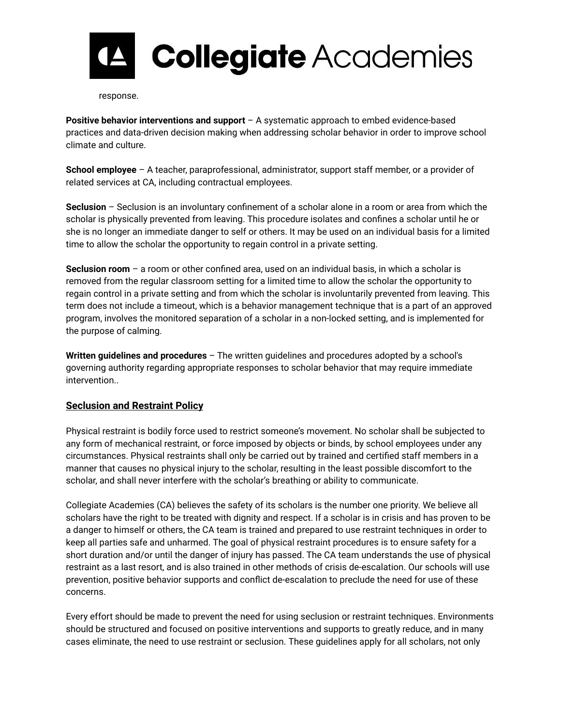

response.

**Positive behavior interventions and support** – A systematic approach to embed evidence-based practices and data-driven decision making when addressing scholar behavior in order to improve school climate and culture.

**School employee** – A teacher, paraprofessional, administrator, support staff member, or a provider of related services at CA, including contractual employees.

**Seclusion** – Seclusion is an involuntary confinement of a scholar alone in a room or area from which the scholar is physically prevented from leaving. This procedure isolates and confines a scholar until he or she is no longer an immediate danger to self or others. It may be used on an individual basis for a limited time to allow the scholar the opportunity to regain control in a private setting.

**Seclusion room** – a room or other confined area, used on an individual basis, in which a scholar is removed from the regular classroom setting for a limited time to allow the scholar the opportunity to regain control in a private setting and from which the scholar is involuntarily prevented from leaving. This term does not include a timeout, which is a behavior management technique that is a part of an approved program, involves the monitored separation of a scholar in a non-locked setting, and is implemented for the purpose of calming.

**Written guidelines and procedures** – The written guidelines and procedures adopted by a school's governing authority regarding appropriate responses to scholar behavior that may require immediate intervention..

### **Seclusion and Restraint Policy**

Physical restraint is bodily force used to restrict someone's movement. No scholar shall be subjected to any form of mechanical restraint, or force imposed by objects or binds, by school employees under any circumstances. Physical restraints shall only be carried out by trained and certified staff members in a manner that causes no physical injury to the scholar, resulting in the least possible discomfort to the scholar, and shall never interfere with the scholar's breathing or ability to communicate.

Collegiate Academies (CA) believes the safety of its scholars is the number one priority. We believe all scholars have the right to be treated with dignity and respect. If a scholar is in crisis and has proven to be a danger to himself or others, the CA team is trained and prepared to use restraint techniques in order to keep all parties safe and unharmed. The goal of physical restraint procedures is to ensure safety for a short duration and/or until the danger of injury has passed. The CA team understands the use of physical restraint as a last resort, and is also trained in other methods of crisis de-escalation. Our schools will use prevention, positive behavior supports and conflict de-escalation to preclude the need for use of these concerns.

Every effort should be made to prevent the need for using seclusion or restraint techniques. Environments should be structured and focused on positive interventions and supports to greatly reduce, and in many cases eliminate, the need to use restraint or seclusion. These guidelines apply for all scholars, not only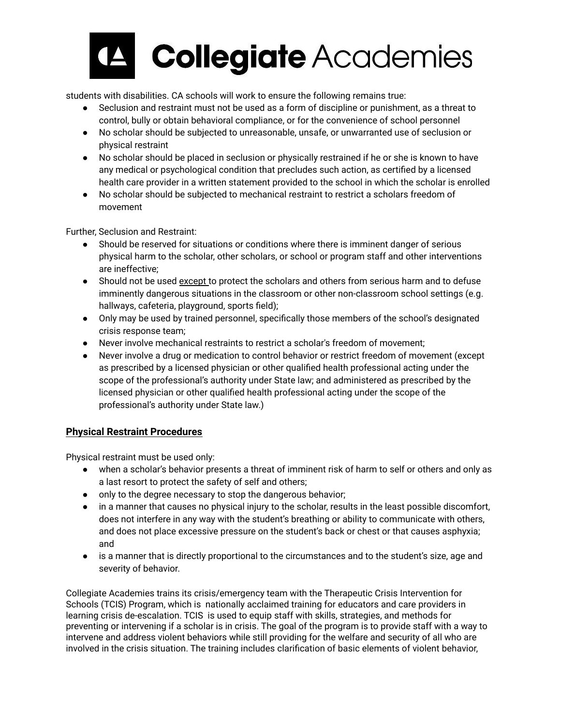students with disabilities. CA schools will work to ensure the following remains true:

- Seclusion and restraint must not be used as a form of discipline or punishment, as a threat to control, bully or obtain behavioral compliance, or for the convenience of school personnel
- No scholar should be subjected to unreasonable, unsafe, or unwarranted use of seclusion or physical restraint
- No scholar should be placed in seclusion or physically restrained if he or she is known to have any medical or psychological condition that precludes such action, as certified by a licensed health care provider in a written statement provided to the school in which the scholar is enrolled
- No scholar should be subjected to mechanical restraint to restrict a scholars freedom of movement

Further, Seclusion and Restraint:

- Should be reserved for situations or conditions where there is imminent danger of serious physical harm to the scholar, other scholars, or school or program staff and other interventions are ineffective;
- Should not be used except to protect the scholars and others from serious harm and to defuse imminently dangerous situations in the classroom or other non-classroom school settings (e.g. hallways, cafeteria, playground, sports field);
- Only may be used by trained personnel, specifically those members of the school's designated crisis response team;
- Never involve mechanical restraints to restrict a scholar's freedom of movement;
- Never involve a drug or medication to control behavior or restrict freedom of movement (except as prescribed by a licensed physician or other qualified health professional acting under the scope of the professional's authority under State law; and administered as prescribed by the licensed physician or other qualified health professional acting under the scope of the professional's authority under State law.)

### **Physical Restraint Procedures**

Physical restraint must be used only:

- when a scholar's behavior presents a threat of imminent risk of harm to self or others and only as a last resort to protect the safety of self and others;
- only to the degree necessary to stop the dangerous behavior;
- in a manner that causes no physical injury to the scholar, results in the least possible discomfort, does not interfere in any way with the student's breathing or ability to communicate with others, and does not place excessive pressure on the student's back or chest or that causes asphyxia; and
- is a manner that is directly proportional to the circumstances and to the student's size, age and severity of behavior.

Collegiate Academies trains its crisis/emergency team with the Therapeutic Crisis Intervention for Schools (TCIS) Program, which is nationally acclaimed training for educators and care providers in learning crisis de-escalation. TCIS is used to equip staff with skills, strategies, and methods for preventing or intervening if a scholar is in crisis. The goal of the program is to provide staff with a way to intervene and address violent behaviors while still providing for the welfare and security of all who are involved in the crisis situation. The training includes clarification of basic elements of violent behavior,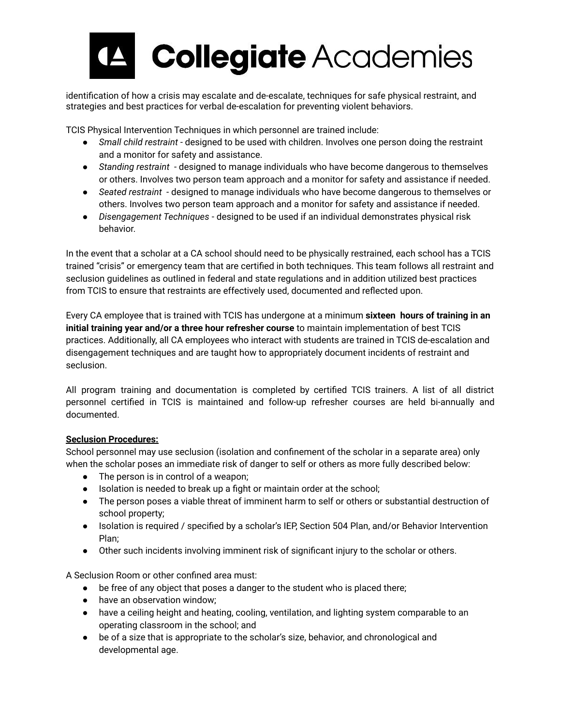identification of how a crisis may escalate and de-escalate, techniques for safe physical restraint, and strategies and best practices for verbal de-escalation for preventing violent behaviors.

TCIS Physical Intervention Techniques in which personnel are trained include:

- *Small child restraint* designed to be used with children. Involves one person doing the restraint and a monitor for safety and assistance.
- *Standing restraint* designed to manage individuals who have become dangerous to themselves or others. Involves two person team approach and a monitor for safety and assistance if needed.
- *Seated restraint* designed to manage individuals who have become dangerous to themselves or others. Involves two person team approach and a monitor for safety and assistance if needed.
- *Disengagement Techniques* designed to be used if an individual demonstrates physical risk behavior.

In the event that a scholar at a CA school should need to be physically restrained, each school has a TCIS trained "crisis" or emergency team that are certified in both techniques. This team follows all restraint and seclusion guidelines as outlined in federal and state regulations and in addition utilized best practices from TCIS to ensure that restraints are effectively used, documented and reflected upon.

Every CA employee that is trained with TCIS has undergone at a minimum **sixteen hours of training in an initial training year and/or a three hour refresher course** to maintain implementation of best TCIS practices. Additionally, all CA employees who interact with students are trained in TCIS de-escalation and disengagement techniques and are taught how to appropriately document incidents of restraint and seclusion.

All program training and documentation is completed by certified TCIS trainers. A list of all district personnel certified in TCIS is maintained and follow-up refresher courses are held bi-annually and documented.

### **Seclusion Procedures:**

School personnel may use seclusion (isolation and confinement of the scholar in a separate area) only when the scholar poses an immediate risk of danger to self or others as more fully described below:

- The person is in control of a weapon;
- Isolation is needed to break up a fight or maintain order at the school;
- The person poses a viable threat of imminent harm to self or others or substantial destruction of school property;
- Isolation is required / specified by a scholar's IEP, Section 504 Plan, and/or Behavior Intervention Plan;
- Other such incidents involving imminent risk of significant injury to the scholar or others.

A Seclusion Room or other confined area must:

- be free of any object that poses a danger to the student who is placed there;
- have an observation window;
- have a ceiling height and heating, cooling, ventilation, and lighting system comparable to an operating classroom in the school; and
- be of a size that is appropriate to the scholar's size, behavior, and chronological and developmental age.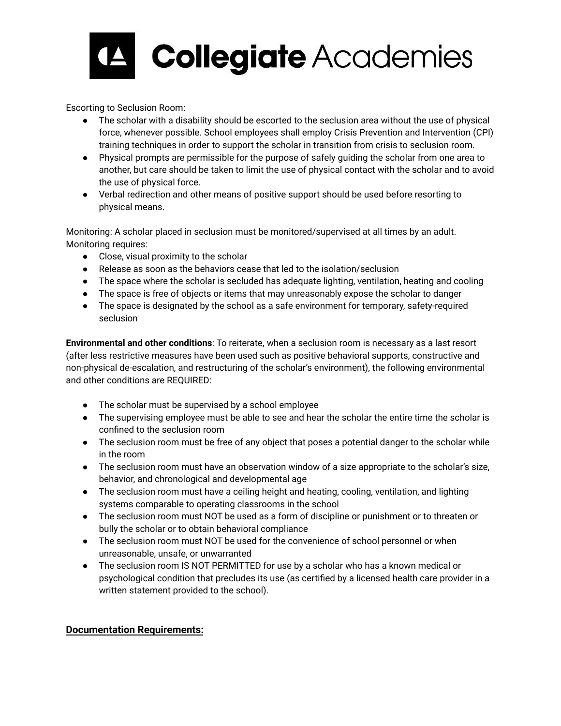

Escorting to Seclusion Room:

- The scholar with a disability should be escorted to the seclusion area without the use of physical force, whenever possible. School employees shall employ Crisis Prevention and Intervention (CPI) training techniques in order to support the scholar in transition from crisis to seclusion room.
- Physical prompts are permissible for the purpose of safely guiding the scholar from one area to another, but care should be taken to limit the use of physical contact with the scholar and to avoid the use of physical force.
- Verbal redirection and other means of positive support should be used before resorting to physical means.

Monitoring: A scholar placed in seclusion must be monitored/supervised at all times by an adult. Monitoring requires:

- Close, visual proximity to the scholar
- Release as soon as the behaviors cease that led to the isolation/seclusion
- The space where the scholar is secluded has adequate lighting, ventilation, heating and cooling
- The space is free of objects or items that may unreasonably expose the scholar to danger
- The space is designated by the school as a safe environment for temporary, safety-required seclusion

**Environmental and other conditions**: To reiterate, when a seclusion room is necessary as a last resort (after less restrictive measures have been used such as positive behavioral supports, constructive and non-physical de-escalation, and restructuring of the scholar's environment), the following environmental and other conditions are REQUIRED:

- The scholar must be supervised by a school employee
- The supervising employee must be able to see and hear the scholar the entire time the scholar is confined to the seclusion room
- The seclusion room must be free of any object that poses a potential danger to the scholar while in the room
- The seclusion room must have an observation window of a size appropriate to the scholar's size, behavior, and chronological and developmental age
- The seclusion room must have a ceiling height and heating, cooling, ventilation, and lighting systems comparable to operating classrooms in the school
- The seclusion room must NOT be used as a form of discipline or punishment or to threaten or bully the scholar or to obtain behavioral compliance
- The seclusion room must NOT be used for the convenience of school personnel or when unreasonable, unsafe, or unwarranted
- The seclusion room IS NOT PERMITTED for use by a scholar who has a known medical or psychological condition that precludes its use (as certified by a licensed health care provider in a written statement provided to the school).

### **Documentation Requirements:**